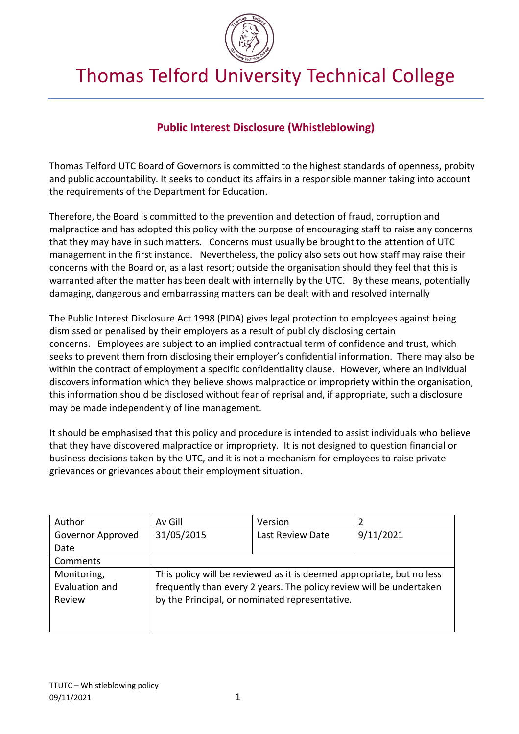

# Thomas Telford University Technical College

# **Public Interest Disclosure (Whistleblowing)**

Thomas Telford UTC Board of Governors is committed to the highest standards of openness, probity and public accountability. It seeks to conduct its affairs in a responsible manner taking into account the requirements of the Department for Education.

Therefore, the Board is committed to the prevention and detection of fraud, corruption and malpractice and has adopted this policy with the purpose of encouraging staff to raise any concerns that they may have in such matters. Concerns must usually be brought to the attention of UTC management in the first instance. Nevertheless, the policy also sets out how staff may raise their concerns with the Board or, as a last resort; outside the organisation should they feel that this is warranted after the matter has been dealt with internally by the UTC. By these means, potentially damaging, dangerous and embarrassing matters can be dealt with and resolved internally

The Public Interest Disclosure Act 1998 (PIDA) gives legal protection to employees against being dismissed or penalised by their employers as a result of publicly disclosing certain concerns. Employees are subject to an implied contractual term of confidence and trust, which seeks to prevent them from disclosing their employer's confidential information. There may also be within the contract of employment a specific confidentiality clause. However, where an individual discovers information which they believe shows malpractice or impropriety within the organisation, this information should be disclosed without fear of reprisal and, if appropriate, such a disclosure may be made independently of line management.

It should be emphasised that this policy and procedure is intended to assist individuals who believe that they have discovered malpractice or impropriety. It is not designed to question financial or business decisions taken by the UTC, and it is not a mechanism for employees to raise private grievances or grievances about their employment situation.

| Author            | Av Gill                                                               | Version          |           |
|-------------------|-----------------------------------------------------------------------|------------------|-----------|
| Governor Approved | 31/05/2015                                                            | Last Review Date | 9/11/2021 |
| Date              |                                                                       |                  |           |
| Comments          |                                                                       |                  |           |
| Monitoring,       | This policy will be reviewed as it is deemed appropriate, but no less |                  |           |
| Evaluation and    | frequently than every 2 years. The policy review will be undertaken   |                  |           |
| Review            | by the Principal, or nominated representative.                        |                  |           |
|                   |                                                                       |                  |           |
|                   |                                                                       |                  |           |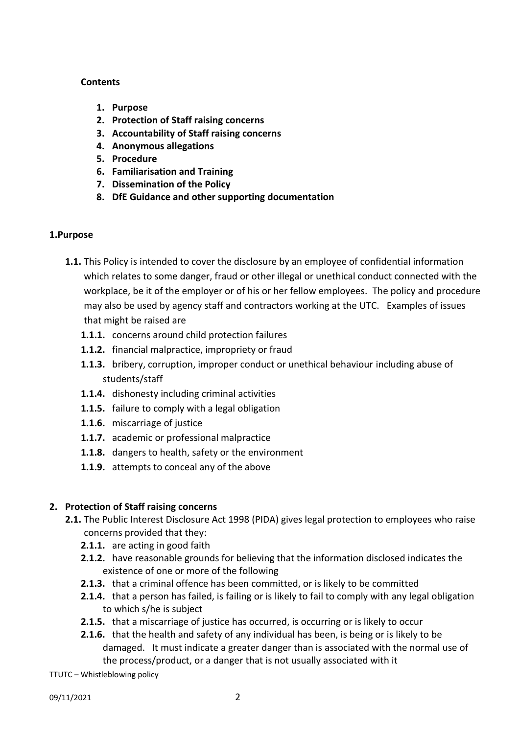#### **Contents**

- **1. Purpose**
- **2. Protection of Staff raising concerns**
- **3. Accountability of Staff raising concerns**
- **4. Anonymous allegations**
- **5. Procedure**
- **6. Familiarisation and Training**
- **7. Dissemination of the Policy**
- **8. DfE Guidance and other supporting documentation**

#### **1.Purpose**

- **1.1.** This Policy is intended to cover the disclosure by an employee of confidential information which relates to some danger, fraud or other illegal or unethical conduct connected with the workplace, be it of the employer or of his or her fellow employees. The policy and procedure may also be used by agency staff and contractors working at the UTC. Examples of issues that might be raised are
	- **1.1.1.** concerns around child protection failures
	- **1.1.2.** financial malpractice, impropriety or fraud
	- **1.1.3.** bribery, corruption, improper conduct or unethical behaviour including abuse of students/staff
	- **1.1.4.** dishonesty including criminal activities
	- **1.1.5.** failure to comply with a legal obligation
	- **1.1.6.** miscarriage of justice
	- **1.1.7.** academic or professional malpractice
	- **1.1.8.** dangers to health, safety or the environment
	- **1.1.9.** attempts to conceal any of the above

#### **2. Protection of Staff raising concerns**

- **2.1.** The Public Interest Disclosure Act 1998 (PIDA) gives legal protection to employees who raise concerns provided that they:
	- **2.1.1.** are acting in good faith
	- **2.1.2.** have reasonable grounds for believing that the information disclosed indicates the existence of one or more of the following
	- **2.1.3.** that a criminal offence has been committed, or is likely to be committed
	- **2.1.4.** that a person has failed, is failing or is likely to fail to comply with any legal obligation to which s/he is subject
	- **2.1.5.** that a miscarriage of justice has occurred, is occurring or is likely to occur
	- **2.1.6.** that the health and safety of any individual has been, is being or is likely to be damaged. It must indicate a greater danger than is associated with the normal use of the process/product, or a danger that is not usually associated with it

TTUTC – Whistleblowing policy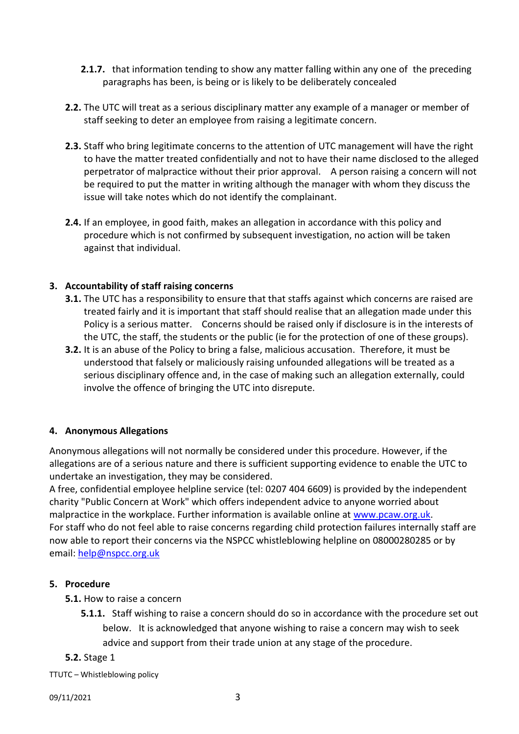- **2.1.7.** that information tending to show any matter falling within any one of the preceding paragraphs has been, is being or is likely to be deliberately concealed
- **2.2.** The UTC will treat as a serious disciplinary matter any example of a manager or member of staff seeking to deter an employee from raising a legitimate concern.
- **2.3.** Staff who bring legitimate concerns to the attention of UTC management will have the right to have the matter treated confidentially and not to have their name disclosed to the alleged perpetrator of malpractice without their prior approval. A person raising a concern will not be required to put the matter in writing although the manager with whom they discuss the issue will take notes which do not identify the complainant.
- **2.4.** If an employee, in good faith, makes an allegation in accordance with this policy and procedure which is not confirmed by subsequent investigation, no action will be taken against that individual.

# **3. Accountability of staff raising concerns**

- **3.1.** The UTC has a responsibility to ensure that that staffs against which concerns are raised are treated fairly and it is important that staff should realise that an allegation made under this Policy is a serious matter. Concerns should be raised only if disclosure is in the interests of the UTC, the staff, the students or the public (ie for the protection of one of these groups).
- **3.2.** It is an abuse of the Policy to bring a false, malicious accusation. Therefore, it must be understood that falsely or maliciously raising unfounded allegations will be treated as a serious disciplinary offence and, in the case of making such an allegation externally, could involve the offence of bringing the UTC into disrepute.

# **4. Anonymous Allegations**

Anonymous allegations will not normally be considered under this procedure. However, if the allegations are of a serious nature and there is sufficient supporting evidence to enable the UTC to undertake an investigation, they may be considered.

A free, confidential employee helpline service (tel: 0207 404 6609) is provided by the independent charity "Public Concern at Work" which offers independent advice to anyone worried about malpractice in the workplace. Further information is available online at [www.pcaw.org.uk.](http://www.pcaw.org.uk/) For staff who do not feel able to raise concerns regarding child protection failures internally staff are now able to report their concerns via the NSPCC whistleblowing helpline on 08000280285 or by email: [help@nspcc.org.uk](mailto:help@nspcc.org.uk)

# **5. Procedure**

- **5.1.** How to raise a concern
	- **5.1.1.** Staff wishing to raise a concern should do so in accordance with the procedure set out below. It is acknowledged that anyone wishing to raise a concern may wish to seek advice and support from their trade union at any stage of the procedure.

#### **5.2.** Stage 1

TTUTC – Whistleblowing policy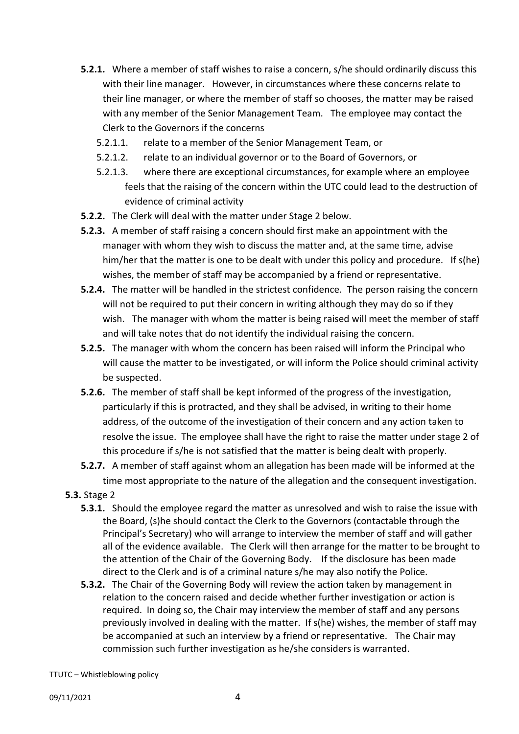- **5.2.1.** Where a member of staff wishes to raise a concern, s/he should ordinarily discuss this with their line manager. However, in circumstances where these concerns relate to their line manager, or where the member of staff so chooses, the matter may be raised with any member of the Senior Management Team. The employee may contact the Clerk to the Governors if the concerns
	- 5.2.1.1. relate to a member of the Senior Management Team, or
	- 5.2.1.2. relate to an individual governor or to the Board of Governors, or
	- 5.2.1.3. where there are exceptional circumstances, for example where an employee feels that the raising of the concern within the UTC could lead to the destruction of evidence of criminal activity
- **5.2.2.** The Clerk will deal with the matter under Stage 2 below.
- **5.2.3.** A member of staff raising a concern should first make an appointment with the manager with whom they wish to discuss the matter and, at the same time, advise him/her that the matter is one to be dealt with under this policy and procedure. If s(he) wishes, the member of staff may be accompanied by a friend or representative.
- **5.2.4.** The matter will be handled in the strictest confidence. The person raising the concern will not be required to put their concern in writing although they may do so if they wish. The manager with whom the matter is being raised will meet the member of staff and will take notes that do not identify the individual raising the concern.
- **5.2.5.** The manager with whom the concern has been raised will inform the Principal who will cause the matter to be investigated, or will inform the Police should criminal activity be suspected.
- **5.2.6.** The member of staff shall be kept informed of the progress of the investigation, particularly if this is protracted, and they shall be advised, in writing to their home address, of the outcome of the investigation of their concern and any action taken to resolve the issue. The employee shall have the right to raise the matter under stage 2 of this procedure if s/he is not satisfied that the matter is being dealt with properly.
- **5.2.7.** A member of staff against whom an allegation has been made will be informed at the time most appropriate to the nature of the allegation and the consequent investigation.
- **5.3.** Stage 2
	- **5.3.1.** Should the employee regard the matter as unresolved and wish to raise the issue with the Board, (s)he should contact the Clerk to the Governors (contactable through the Principal's Secretary) who will arrange to interview the member of staff and will gather all of the evidence available. The Clerk will then arrange for the matter to be brought to the attention of the Chair of the Governing Body. If the disclosure has been made direct to the Clerk and is of a criminal nature s/he may also notify the Police.
	- **5.3.2.** The Chair of the Governing Body will review the action taken by management in relation to the concern raised and decide whether further investigation or action is required. In doing so, the Chair may interview the member of staff and any persons previously involved in dealing with the matter. If s(he) wishes, the member of staff may be accompanied at such an interview by a friend or representative. The Chair may commission such further investigation as he/she considers is warranted.